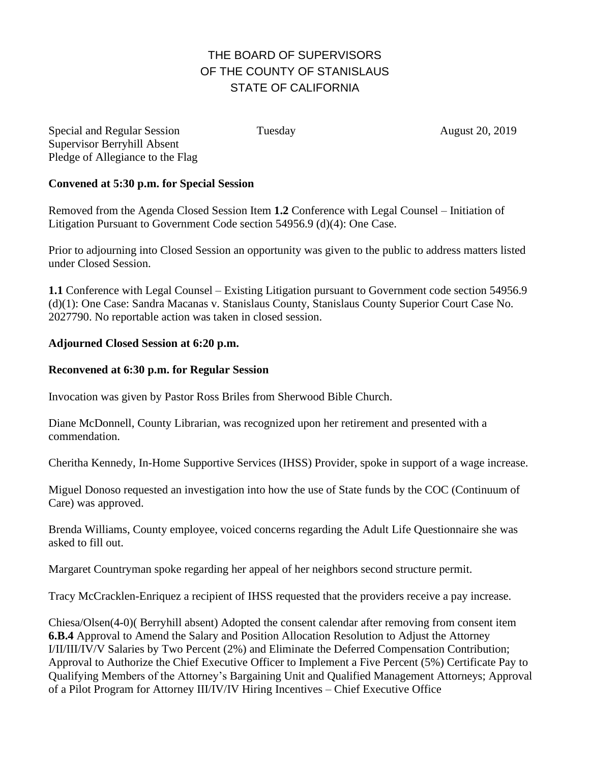## THE BOARD OF SUPERVISORS OF THE COUNTY OF STANISLAUS STATE OF CALIFORNIA

Special and Regular Session Tuesday August 20, 2019 Supervisor Berryhill Absent Pledge of Allegiance to the Flag

## **Convened at 5:30 p.m. for Special Session**

Removed from the Agenda Closed Session Item **1.2** Conference with Legal Counsel – Initiation of Litigation Pursuant to Government Code section 54956.9 (d)(4): One Case.

Prior to adjourning into Closed Session an opportunity was given to the public to address matters listed under Closed Session.

**1.1** Conference with Legal Counsel – Existing Litigation pursuant to Government code section 54956.9 (d)(1): One Case: Sandra Macanas v. Stanislaus County, Stanislaus County Superior Court Case No. 2027790. No reportable action was taken in closed session.

## **Adjourned Closed Session at 6:20 p.m.**

## **Reconvened at 6:30 p.m. for Regular Session**

Invocation was given by Pastor Ross Briles from Sherwood Bible Church.

Diane McDonnell, County Librarian, was recognized upon her retirement and presented with a commendation.

Cheritha Kennedy, In-Home Supportive Services (IHSS) Provider, spoke in support of a wage increase.

Miguel Donoso requested an investigation into how the use of State funds by the COC (Continuum of Care) was approved.

Brenda Williams, County employee, voiced concerns regarding the Adult Life Questionnaire she was asked to fill out.

Margaret Countryman spoke regarding her appeal of her neighbors second structure permit.

Tracy McCracklen-Enriquez a recipient of IHSS requested that the providers receive a pay increase.

Chiesa/Olsen(4-0)( Berryhill absent) Adopted the consent calendar after removing from consent item **6.B.4** Approval to Amend the Salary and Position Allocation Resolution to Adjust the Attorney I/II/III/IV/V Salaries by Two Percent (2%) and Eliminate the Deferred Compensation Contribution; Approval to Authorize the Chief Executive Officer to Implement a Five Percent (5%) Certificate Pay to Qualifying Members of the Attorney's Bargaining Unit and Qualified Management Attorneys; Approval of a Pilot Program for Attorney III/IV/IV Hiring Incentives – Chief Executive Office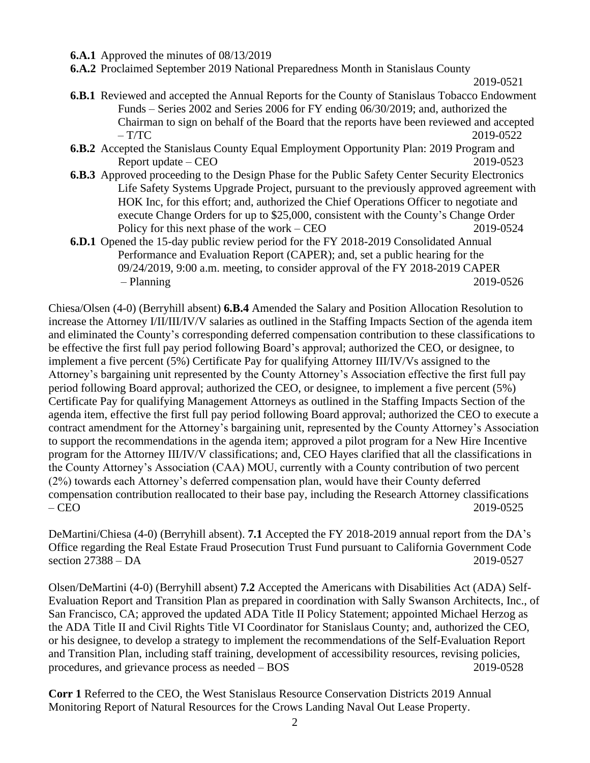- **6.A.1** Approved the minutes of 08/13/2019
- **6.A.2** Proclaimed September 2019 National Preparedness Month in Stanislaus County

```
2019-0521
```
- **6.B.1** Reviewed and accepted the Annual Reports for the County of Stanislaus Tobacco Endowment Funds – Series 2002 and Series 2006 for FY ending 06/30/2019; and, authorized the Chairman to sign on behalf of the Board that the reports have been reviewed and accepted  $- T/TC$  2019-0522
- **6.B.2** Accepted the Stanislaus County Equal Employment Opportunity Plan: 2019 Program and Report update – CEO 2019-0523
- **6.B.3** Approved proceeding to the Design Phase for the Public Safety Center Security Electronics Life Safety Systems Upgrade Project, pursuant to the previously approved agreement with HOK Inc, for this effort; and, authorized the Chief Operations Officer to negotiate and execute Change Orders for up to \$25,000, consistent with the County's Change Order Policy for this next phase of the work – CEO 2019-0524
- **6.D.1** Opened the 15-day public review period for the FY 2018-2019 Consolidated Annual Performance and Evaluation Report (CAPER); and, set a public hearing for the 09/24/2019, 9:00 a.m. meeting, to consider approval of the FY 2018-2019 CAPER – Planning 2019-0526

Chiesa/Olsen (4-0) (Berryhill absent) **6.B.4** Amended the Salary and Position Allocation Resolution to increase the Attorney I/II/III/IV/V salaries as outlined in the Staffing Impacts Section of the agenda item and eliminated the County's corresponding deferred compensation contribution to these classifications to be effective the first full pay period following Board's approval; authorized the CEO, or designee, to implement a five percent (5%) Certificate Pay for qualifying Attorney III/IV/Vs assigned to the Attorney's bargaining unit represented by the County Attorney's Association effective the first full pay period following Board approval; authorized the CEO, or designee, to implement a five percent (5%) Certificate Pay for qualifying Management Attorneys as outlined in the Staffing Impacts Section of the agenda item, effective the first full pay period following Board approval; authorized the CEO to execute a contract amendment for the Attorney's bargaining unit, represented by the County Attorney's Association to support the recommendations in the agenda item; approved a pilot program for a New Hire Incentive program for the Attorney III/IV/V classifications; and, CEO Hayes clarified that all the classifications in the County Attorney's Association (CAA) MOU, currently with a County contribution of two percent (2%) towards each Attorney's deferred compensation plan, would have their County deferred compensation contribution reallocated to their base pay, including the Research Attorney classifications – CEO 2019-0525

DeMartini/Chiesa (4-0) (Berryhill absent). **7.1** Accepted the FY 2018-2019 annual report from the DA's Office regarding the Real Estate Fraud Prosecution Trust Fund pursuant to California Government Code section 27388 – DA 2019-0527

Olsen/DeMartini (4-0) (Berryhill absent) **7.2** Accepted the Americans with Disabilities Act (ADA) Self-Evaluation Report and Transition Plan as prepared in coordination with Sally Swanson Architects, Inc., of San Francisco, CA; approved the updated ADA Title II Policy Statement; appointed Michael Herzog as the ADA Title II and Civil Rights Title VI Coordinator for Stanislaus County; and, authorized the CEO, or his designee, to develop a strategy to implement the recommendations of the Self-Evaluation Report and Transition Plan, including staff training, development of accessibility resources, revising policies, procedures, and grievance process as needed – BOS 2019-0528

**Corr 1** Referred to the CEO, the West Stanislaus Resource Conservation Districts 2019 Annual Monitoring Report of Natural Resources for the Crows Landing Naval Out Lease Property.